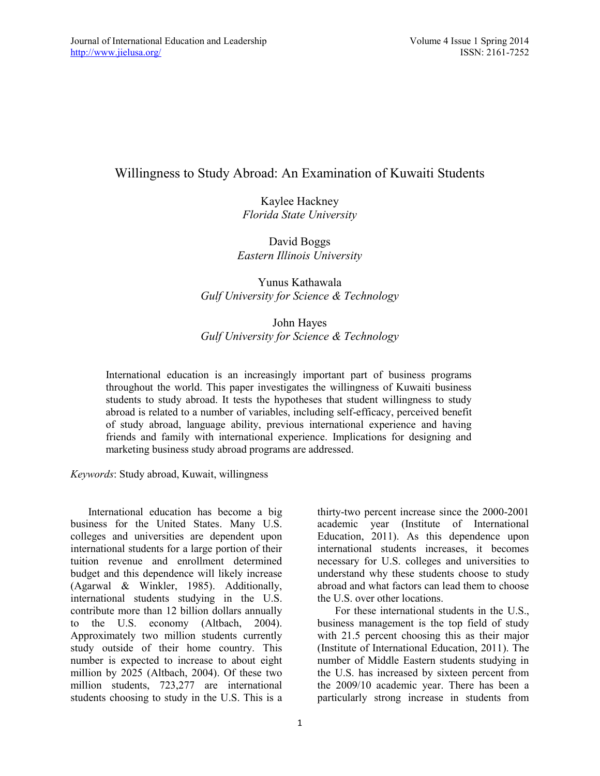# Willingness to Study Abroad: An Examination of Kuwaiti Students

Kaylee Hackney *Florida State University*

David Boggs *Eastern Illinois University*

Yunus Kathawala *Gulf University for Science & Technology*

# John Hayes *Gulf University for Science & Technology*

International education is an increasingly important part of business programs throughout the world. This paper investigates the willingness of Kuwaiti business students to study abroad. It tests the hypotheses that student willingness to study abroad is related to a number of variables, including self-efficacy, perceived benefit of study abroad, language ability, previous international experience and having friends and family with international experience. Implications for designing and marketing business study abroad programs are addressed.

*Keywords*: Study abroad, Kuwait, willingness

International education has become a big business for the United States. Many U.S. colleges and universities are dependent upon international students for a large portion of their tuition revenue and enrollment determined budget and this dependence will likely increase (Agarwal & Winkler, 1985). Additionally, international students studying in the U.S. contribute more than 12 billion dollars annually to the U.S. economy (Altbach, 2004). Approximately two million students currently study outside of their home country. This number is expected to increase to about eight million by 2025 (Altbach, 2004). Of these two million students, 723,277 are international students choosing to study in the U.S. This is a

thirty-two percent increase since the 2000-2001 academic year (Institute of International Education, 2011). As this dependence upon international students increases, it becomes necessary for U.S. colleges and universities to understand why these students choose to study abroad and what factors can lead them to choose the U.S. over other locations.

For these international students in the U.S., business management is the top field of study with 21.5 percent choosing this as their major (Institute of International Education, 2011). The number of Middle Eastern students studying in the U.S. has increased by sixteen percent from the 2009/10 academic year. There has been a particularly strong increase in students from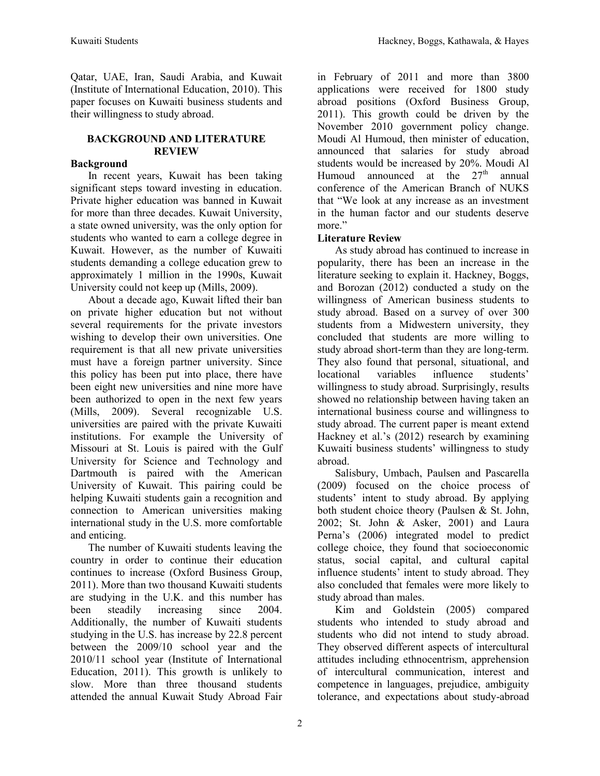Qatar, UAE, Iran, Saudi Arabia, and Kuwait (Institute of International Education, 2010). This paper focuses on Kuwaiti business students and their willingness to study abroad.

#### **BACKGROUND AND LITERATURE REVIEW**

## **Background**

In recent years, Kuwait has been taking significant steps toward investing in education. Private higher education was banned in Kuwait for more than three decades. Kuwait University, a state owned university, was the only option for students who wanted to earn a college degree in Kuwait. However, as the number of Kuwaiti students demanding a college education grew to approximately 1 million in the 1990s, Kuwait University could not keep up (Mills, 2009).

About a decade ago, Kuwait lifted their ban on private higher education but not without several requirements for the private investors wishing to develop their own universities. One requirement is that all new private universities must have a foreign partner university. Since this policy has been put into place, there have been eight new universities and nine more have been authorized to open in the next few years (Mills, 2009). Several recognizable U.S. universities are paired with the private Kuwaiti institutions. For example the University of Missouri at St. Louis is paired with the Gulf University for Science and Technology and Dartmouth is paired with the American University of Kuwait. This pairing could be helping Kuwaiti students gain a recognition and connection to American universities making international study in the U.S. more comfortable and enticing.

The number of Kuwaiti students leaving the country in order to continue their education continues to increase (Oxford Business Group, 2011). More than two thousand Kuwaiti students are studying in the U.K. and this number has been steadily increasing since 2004. Additionally, the number of Kuwaiti students studying in the U.S. has increase by 22.8 percent between the 2009/10 school year and the 2010/11 school year (Institute of International Education, 2011). This growth is unlikely to slow. More than three thousand students attended the annual Kuwait Study Abroad Fair

in February of 2011 and more than 3800 applications were received for 1800 study abroad positions (Oxford Business Group, 2011). This growth could be driven by the November 2010 government policy change. Moudi Al Humoud, then minister of education, announced that salaries for study abroad students would be increased by 20%. Moudi Al Humoud announced at the  $27<sup>th</sup>$  annual conference of the American Branch of NUKS that "We look at any increase as an investment in the human factor and our students deserve more."

## **Literature Review**

As study abroad has continued to increase in popularity, there has been an increase in the literature seeking to explain it. Hackney, Boggs, and Borozan (2012) conducted a study on the willingness of American business students to study abroad. Based on a survey of over 300 students from a Midwestern university, they concluded that students are more willing to study abroad short-term than they are long-term. They also found that personal, situational, and locational variables influence students' willingness to study abroad. Surprisingly, results showed no relationship between having taken an international business course and willingness to study abroad. The current paper is meant extend Hackney et al.'s (2012) research by examining Kuwaiti business students' willingness to study abroad.

Salisbury, Umbach, Paulsen and Pascarella (2009) focused on the choice process of students' intent to study abroad. By applying both student choice theory (Paulsen & St. John, 2002; St. John & Asker, 2001) and Laura Perna's (2006) integrated model to predict college choice, they found that socioeconomic status, social capital, and cultural capital influence students' intent to study abroad. They also concluded that females were more likely to study abroad than males.

Kim and Goldstein (2005) compared students who intended to study abroad and students who did not intend to study abroad. They observed different aspects of intercultural attitudes including ethnocentrism, apprehension of intercultural communication, interest and competence in languages, prejudice, ambiguity tolerance, and expectations about study-abroad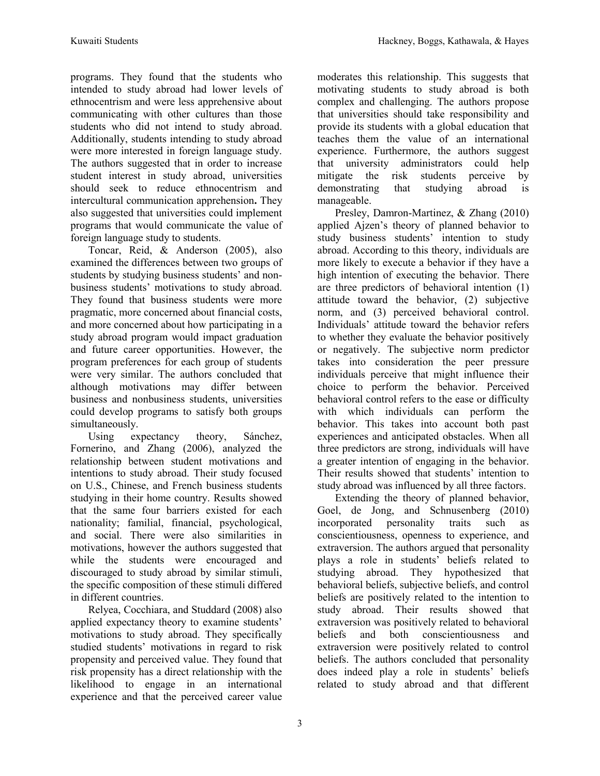programs. They found that the students who intended to study abroad had lower levels of ethnocentrism and were less apprehensive about communicating with other cultures than those students who did not intend to study abroad. Additionally, students intending to study abroad were more interested in foreign language study. The authors suggested that in order to increase student interest in study abroad, universities should seek to reduce ethnocentrism and intercultural communication apprehension**.** They also suggested that universities could implement programs that would communicate the value of foreign language study to students.

Toncar, Reid, & Anderson (2005), also examined the differences between two groups of students by studying business students' and nonbusiness students' motivations to study abroad. They found that business students were more pragmatic, more concerned about financial costs, and more concerned about how participating in a study abroad program would impact graduation and future career opportunities. However, the program preferences for each group of students were very similar. The authors concluded that although motivations may differ between business and nonbusiness students, universities could develop programs to satisfy both groups simultaneously.

Using expectancy theory, Sánchez, Fornerino, and Zhang (2006), analyzed the relationship between student motivations and intentions to study abroad. Their study focused on U.S., Chinese, and French business students studying in their home country. Results showed that the same four barriers existed for each nationality; familial, financial, psychological, and social. There were also similarities in motivations, however the authors suggested that while the students were encouraged and discouraged to study abroad by similar stimuli, the specific composition of these stimuli differed in different countries.

Relyea, Cocchiara, and Studdard (2008) also applied expectancy theory to examine students' motivations to study abroad. They specifically studied students' motivations in regard to risk propensity and perceived value. They found that risk propensity has a direct relationship with the likelihood to engage in an international experience and that the perceived career value

moderates this relationship. This suggests that motivating students to study abroad is both complex and challenging. The authors propose that universities should take responsibility and provide its students with a global education that teaches them the value of an international experience. Furthermore, the authors suggest that university administrators could help mitigate the risk students perceive by demonstrating that studying abroad is manageable.

Presley, Damron-Martinez, & Zhang (2010) applied Ajzen's theory of planned behavior to study business students' intention to study abroad. According to this theory, individuals are more likely to execute a behavior if they have a high intention of executing the behavior. There are three predictors of behavioral intention (1) attitude toward the behavior, (2) subjective norm, and (3) perceived behavioral control. Individuals' attitude toward the behavior refers to whether they evaluate the behavior positively or negatively. The subjective norm predictor takes into consideration the peer pressure individuals perceive that might influence their choice to perform the behavior. Perceived behavioral control refers to the ease or difficulty with which individuals can perform the behavior. This takes into account both past experiences and anticipated obstacles. When all three predictors are strong, individuals will have a greater intention of engaging in the behavior. Their results showed that students' intention to study abroad was influenced by all three factors.

Extending the theory of planned behavior, Goel, de Jong, and Schnusenberg (2010) incorporated personality traits such as conscientiousness, openness to experience, and extraversion. The authors argued that personality plays a role in students' beliefs related to studying abroad. They hypothesized that behavioral beliefs, subjective beliefs, and control beliefs are positively related to the intention to study abroad. Their results showed that extraversion was positively related to behavioral beliefs and both conscientiousness and extraversion were positively related to control beliefs. The authors concluded that personality does indeed play a role in students' beliefs related to study abroad and that different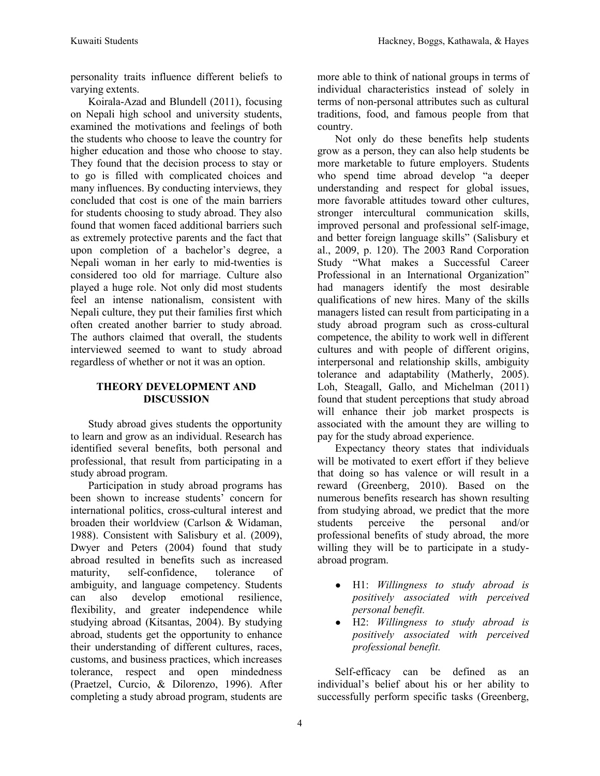personality traits influence different beliefs to varying extents.

Koirala-Azad and Blundell (2011), focusing on Nepali high school and university students, examined the motivations and feelings of both the students who choose to leave the country for higher education and those who choose to stay. They found that the decision process to stay or to go is filled with complicated choices and many influences. By conducting interviews, they concluded that cost is one of the main barriers for students choosing to study abroad. They also found that women faced additional barriers such as extremely protective parents and the fact that upon completion of a bachelor's degree, a Nepali woman in her early to mid-twenties is considered too old for marriage. Culture also played a huge role. Not only did most students feel an intense nationalism, consistent with Nepali culture, they put their families first which often created another barrier to study abroad. The authors claimed that overall, the students interviewed seemed to want to study abroad regardless of whether or not it was an option.

## **THEORY DEVELOPMENT AND DISCUSSION**

Study abroad gives students the opportunity to learn and grow as an individual. Research has identified several benefits, both personal and professional, that result from participating in a study abroad program.

Participation in study abroad programs has been shown to increase students' concern for international politics, cross-cultural interest and broaden their worldview (Carlson & Widaman, 1988). Consistent with Salisbury et al. (2009), Dwyer and Peters (2004) found that study abroad resulted in benefits such as increased maturity, self-confidence, tolerance of ambiguity, and language competency. Students can also develop emotional resilience, flexibility, and greater independence while studying abroad (Kitsantas, 2004). By studying abroad, students get the opportunity to enhance their understanding of different cultures, races, customs, and business practices, which increases tolerance, respect and open mindedness (Praetzel, Curcio, & Dilorenzo, 1996). After completing a study abroad program, students are

more able to think of national groups in terms of individual characteristics instead of solely in terms of non-personal attributes such as cultural traditions, food, and famous people from that country.

Not only do these benefits help students grow as a person, they can also help students be more marketable to future employers. Students who spend time abroad develop "a deeper understanding and respect for global issues, more favorable attitudes toward other cultures, stronger intercultural communication skills, improved personal and professional self-image, and better foreign language skills" (Salisbury et al., 2009, p. 120). The 2003 Rand Corporation Study "What makes a Successful Career Professional in an International Organization" had managers identify the most desirable qualifications of new hires. Many of the skills managers listed can result from participating in a study abroad program such as cross-cultural competence, the ability to work well in different cultures and with people of different origins, interpersonal and relationship skills, ambiguity tolerance and adaptability (Matherly, 2005). Loh, Steagall, Gallo, and Michelman (2011) found that student perceptions that study abroad will enhance their job market prospects is associated with the amount they are willing to pay for the study abroad experience.

Expectancy theory states that individuals will be motivated to exert effort if they believe that doing so has valence or will result in a reward (Greenberg, 2010). Based on the numerous benefits research has shown resulting from studying abroad, we predict that the more students perceive the personal and/or professional benefits of study abroad, the more willing they will be to participate in a studyabroad program.

- H1: *Willingness to study abroad is positively associated with perceived personal benefit.*
- H2: *Willingness to study abroad is positively associated with perceived professional benefit.*

Self-efficacy can be defined as an individual's belief about his or her ability to successfully perform specific tasks (Greenberg,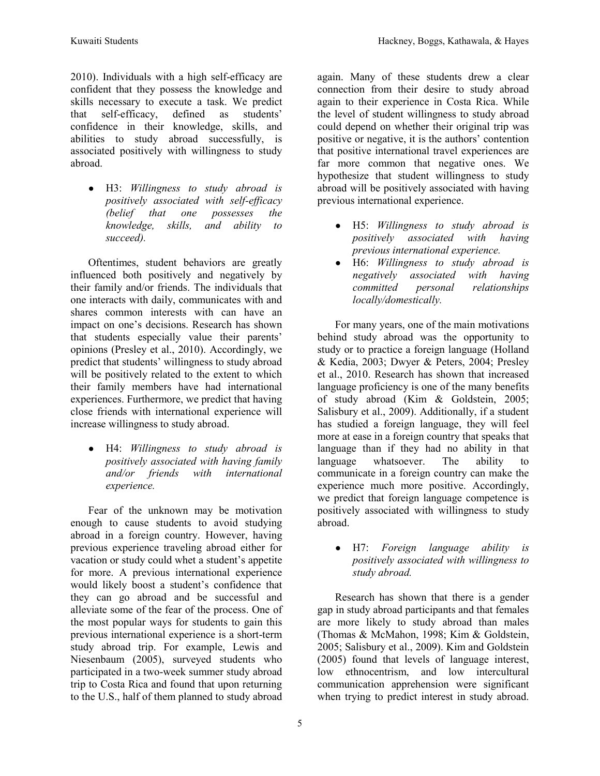2010). Individuals with a high self-efficacy are confident that they possess the knowledge and skills necessary to execute a task. We predict that self-efficacy, defined as students' confidence in their knowledge, skills, and abilities to study abroad successfully, is associated positively with willingness to study abroad.

● H3: *Willingness to study abroad is positively associated with self-efficacy (belief that one possesses the knowledge, skills, and ability to succeed).*

Oftentimes, student behaviors are greatly influenced both positively and negatively by their family and/or friends. The individuals that one interacts with daily, communicates with and shares common interests with can have an impact on one's decisions. Research has shown that students especially value their parents' opinions (Presley et al., 2010). Accordingly, we predict that students' willingness to study abroad will be positively related to the extent to which their family members have had international experiences. Furthermore, we predict that having close friends with international experience will increase willingness to study abroad.

● H4: *Willingness to study abroad is positively associated with having family and/or friends with international experience.*

Fear of the unknown may be motivation enough to cause students to avoid studying abroad in a foreign country. However, having previous experience traveling abroad either for vacation or study could whet a student's appetite for more. A previous international experience would likely boost a student's confidence that they can go abroad and be successful and alleviate some of the fear of the process. One of the most popular ways for students to gain this previous international experience is a short-term study abroad trip. For example, Lewis and Niesenbaum (2005), surveyed students who participated in a two-week summer study abroad trip to Costa Rica and found that upon returning to the U.S., half of them planned to study abroad

again. Many of these students drew a clear connection from their desire to study abroad again to their experience in Costa Rica. While the level of student willingness to study abroad could depend on whether their original trip was positive or negative, it is the authors' contention that positive international travel experiences are far more common that negative ones. We hypothesize that student willingness to study abroad will be positively associated with having previous international experience.

- H5: *Willingness to study abroad is positively associated with having previous international experience.*
- H6: *Willingness to study abroad is negatively associated with having committed personal relationships locally/domestically.*

For many years, one of the main motivations behind study abroad was the opportunity to study or to practice a foreign language (Holland & Kedia, 2003; Dwyer & Peters, 2004; Presley et al., 2010. Research has shown that increased language proficiency is one of the many benefits of study abroad (Kim & Goldstein, 2005; Salisbury et al., 2009). Additionally, if a student has studied a foreign language, they will feel more at ease in a foreign country that speaks that language than if they had no ability in that language whatsoever. The ability to communicate in a foreign country can make the experience much more positive. Accordingly, we predict that foreign language competence is positively associated with willingness to study abroad.

● H7: *Foreign language ability is positively associated with willingness to study abroad.*

Research has shown that there is a gender gap in study abroad participants and that females are more likely to study abroad than males (Thomas & McMahon, 1998; Kim & Goldstein, 2005; Salisbury et al., 2009). Kim and Goldstein (2005) found that levels of language interest, low ethnocentrism, and low intercultural communication apprehension were significant when trying to predict interest in study abroad.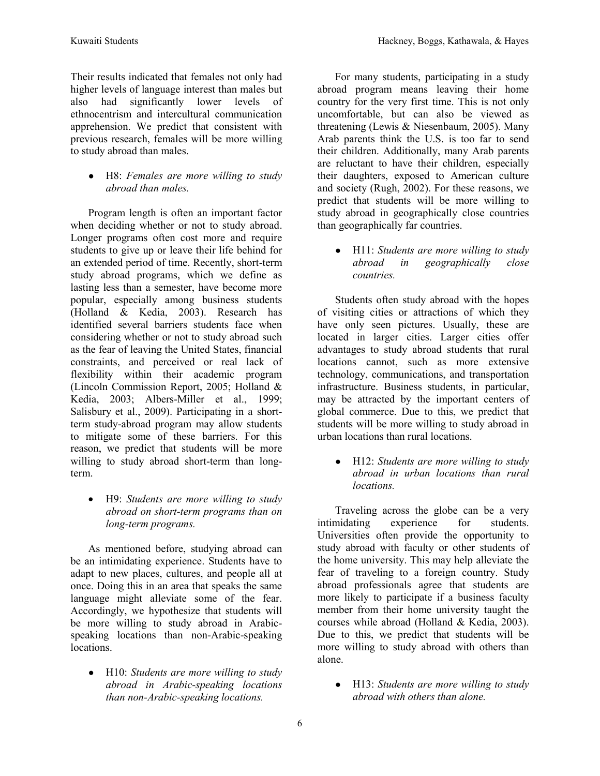Their results indicated that females not only had higher levels of language interest than males but also had significantly lower levels of ethnocentrism and intercultural communication apprehension. We predict that consistent with previous research, females will be more willing to study abroad than males.

## ● H8: *Females are more willing to study abroad than males.*

Program length is often an important factor when deciding whether or not to study abroad. Longer programs often cost more and require students to give up or leave their life behind for an extended period of time. Recently, short-term study abroad programs, which we define as lasting less than a semester, have become more popular, especially among business students (Holland & Kedia, 2003). Research has identified several barriers students face when considering whether or not to study abroad such as the fear of leaving the United States, financial constraints, and perceived or real lack of flexibility within their academic program (Lincoln Commission Report, 2005; Holland & Kedia, 2003; Albers-Miller et al., 1999; Salisbury et al., 2009). Participating in a shortterm study-abroad program may allow students to mitigate some of these barriers. For this reason, we predict that students will be more willing to study abroad short-term than longterm.

 H9: *Students are more willing to study abroad on short-term programs than on long-term programs.* 

As mentioned before, studying abroad can be an intimidating experience. Students have to adapt to new places, cultures, and people all at once. Doing this in an area that speaks the same language might alleviate some of the fear. Accordingly, we hypothesize that students will be more willing to study abroad in Arabicspeaking locations than non-Arabic-speaking locations.

● H10: *Students are more willing to study abroad in Arabic-speaking locations than non-Arabic-speaking locations.*

For many students, participating in a study abroad program means leaving their home country for the very first time. This is not only uncomfortable, but can also be viewed as threatening (Lewis & Niesenbaum, 2005). Many Arab parents think the U.S. is too far to send their children. Additionally, many Arab parents are reluctant to have their children, especially their daughters, exposed to American culture and society (Rugh, 2002). For these reasons, we predict that students will be more willing to study abroad in geographically close countries than geographically far countries.

● H11: *Students are more willing to study abroad in geographically close countries.*

Students often study abroad with the hopes of visiting cities or attractions of which they have only seen pictures. Usually, these are located in larger cities. Larger cities offer advantages to study abroad students that rural locations cannot, such as more extensive technology, communications, and transportation infrastructure. Business students, in particular, may be attracted by the important centers of global commerce. Due to this, we predict that students will be more willing to study abroad in urban locations than rural locations.

● H12: *Students are more willing to study abroad in urban locations than rural locations.*

Traveling across the globe can be a very intimidating experience for students. Universities often provide the opportunity to study abroad with faculty or other students of the home university. This may help alleviate the fear of traveling to a foreign country. Study abroad professionals agree that students are more likely to participate if a business faculty member from their home university taught the courses while abroad (Holland & Kedia, 2003). Due to this, we predict that students will be more willing to study abroad with others than alone.

● H13: *Students are more willing to study abroad with others than alone.*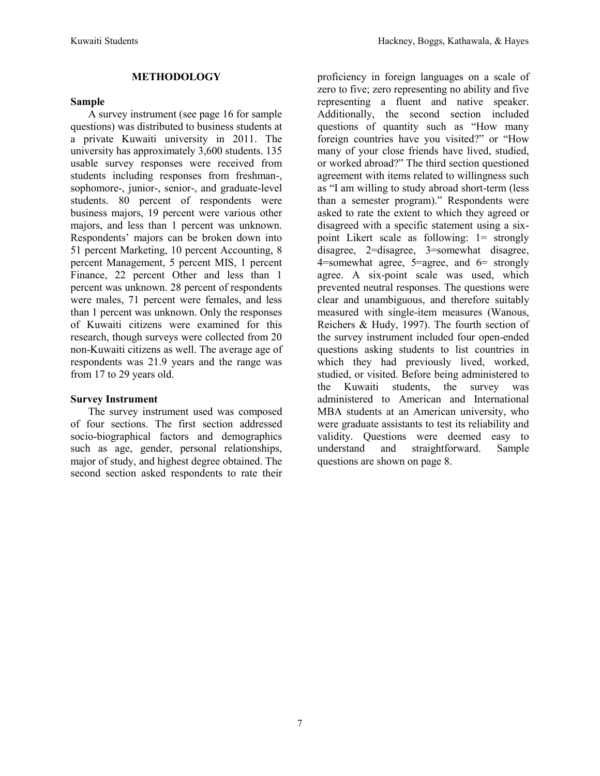## **METHODOLOGY**

#### **Sample**

A survey instrument (see page 16 for sample questions) was distributed to business students at a private Kuwaiti university in 2011. The university has approximately 3,600 students. 135 usable survey responses were received from students including responses from freshman-, sophomore-, junior-, senior-, and graduate-level students. 80 percent of respondents were business majors, 19 percent were various other majors, and less than 1 percent was unknown. Respondents' majors can be broken down into 51 percent Marketing, 10 percent Accounting, 8 percent Management, 5 percent MIS, 1 percent Finance, 22 percent Other and less than 1 percent was unknown. 28 percent of respondents were males, 71 percent were females, and less than 1 percent was unknown. Only the responses of Kuwaiti citizens were examined for this research, though surveys were collected from 20 non-Kuwaiti citizens as well. The average age of respondents was 21.9 years and the range was from 17 to 29 years old.

#### **Survey Instrument**

The survey instrument used was composed of four sections. The first section addressed socio-biographical factors and demographics such as age, gender, personal relationships, major of study, and highest degree obtained. The second section asked respondents to rate their

proficiency in foreign languages on a scale of zero to five; zero representing no ability and five representing a fluent and native speaker. Additionally, the second section included questions of quantity such as "How many foreign countries have you visited?" or "How many of your close friends have lived, studied, or worked abroad?" The third section questioned agreement with items related to willingness such as "I am willing to study abroad short-term (less than a semester program)." Respondents were asked to rate the extent to which they agreed or disagreed with a specific statement using a sixpoint Likert scale as following: 1= strongly disagree, 2=disagree, 3=somewhat disagree, 4=somewhat agree, 5=agree, and 6= strongly agree. A six-point scale was used, which prevented neutral responses. The questions were clear and unambiguous, and therefore suitably measured with single-item measures (Wanous, Reichers & Hudy, 1997). The fourth section of the survey instrument included four open-ended questions asking students to list countries in which they had previously lived, worked, studied, or visited. Before being administered to the Kuwaiti students, the survey was administered to American and International MBA students at an American university, who were graduate assistants to test its reliability and validity. Questions were deemed easy to understand and straightforward. Sample questions are shown on page 8.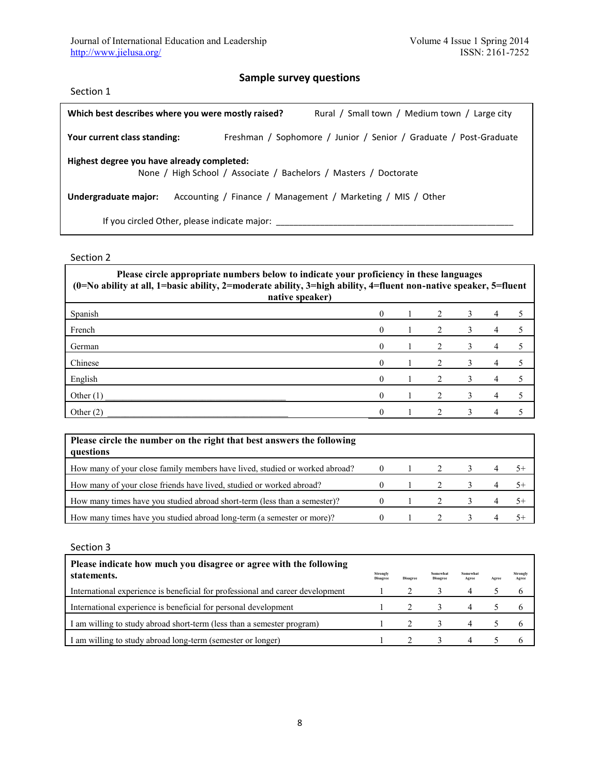# **Sample survey questions**

| Section 1                                                                                           |                                                                   |                                                                  |  |  |
|-----------------------------------------------------------------------------------------------------|-------------------------------------------------------------------|------------------------------------------------------------------|--|--|
| Rural / Small town / Medium town / Large city<br>Which best describes where you were mostly raised? |                                                                   |                                                                  |  |  |
| Your current class standing:                                                                        | Freshman / Sophomore / Junior / Senior / Graduate / Post-Graduate |                                                                  |  |  |
| Highest degree you have already completed:                                                          |                                                                   |                                                                  |  |  |
|                                                                                                     |                                                                   | None / High School / Associate / Bachelors / Masters / Doctorate |  |  |
| Undergraduate major:                                                                                |                                                                   | Accounting / Finance / Management / Marketing / MIS / Other      |  |  |
| If you circled Other, please indicate major:                                                        |                                                                   |                                                                  |  |  |

Section 2

| Please circle appropriate numbers below to indicate your proficiency in these languages<br>(0=No ability at all, 1=basic ability, 2=moderate ability, 3=high ability, 4=fluent non-native speaker, 5=fluent<br>native speaker) |          |  |                               |   |   |  |  |
|--------------------------------------------------------------------------------------------------------------------------------------------------------------------------------------------------------------------------------|----------|--|-------------------------------|---|---|--|--|
| Spanish                                                                                                                                                                                                                        | $\Omega$ |  |                               | 3 | 4 |  |  |
| French                                                                                                                                                                                                                         | $\theta$ |  | $\mathfrak{D}$                | 3 | 4 |  |  |
| German                                                                                                                                                                                                                         | $\theta$ |  | $\mathfrak{D}_{\mathfrak{p}}$ | 3 | 4 |  |  |
| Chinese                                                                                                                                                                                                                        | $\Omega$ |  | $\mathfrak{D}$                | 3 | 4 |  |  |
| English                                                                                                                                                                                                                        | $\theta$ |  | 2                             | 3 | 4 |  |  |
| Other $(1)$                                                                                                                                                                                                                    | $\theta$ |  |                               | 3 | 4 |  |  |
| Other $(2)$                                                                                                                                                                                                                    | $\Omega$ |  |                               | 3 | 4 |  |  |

| Please circle the number on the right that best answers the following<br>questions |          |  |               |   |      |
|------------------------------------------------------------------------------------|----------|--|---------------|---|------|
| How many of your close family members have lived, studied or worked abroad?        | $\Omega$ |  |               | 4 | $5+$ |
| How many of your close friends have lived, studied or worked abroad?               |          |  | -3            | 4 | $5+$ |
| How many times have you studied abroad short-term (less than a semester)?          |          |  | $\mathcal{E}$ |   | $5+$ |
| How many times have you studied abroad long-term (a semester or more)?             |          |  |               |   | $5+$ |

| Section 3                                                                        |                                    |                 |                                    |                          |       |                          |
|----------------------------------------------------------------------------------|------------------------------------|-----------------|------------------------------------|--------------------------|-------|--------------------------|
| Please indicate how much you disagree or agree with the following<br>statements. | <b>Strongly</b><br><b>Disagree</b> | <b>Disagree</b> | <b>Somewhat</b><br><b>Disagree</b> | <b>Somewhat</b><br>Agree | Agree | <b>Strongly</b><br>Agree |
| International experience is beneficial for professional and career development   |                                    |                 |                                    | 4                        |       | O                        |
| International experience is beneficial for personal development                  |                                    |                 |                                    | 4                        |       |                          |
| I am willing to study abroad short-term (less than a semester program)           |                                    |                 |                                    | 4                        |       | b                        |
| I am willing to study abroad long-term (semester or longer)                      |                                    |                 |                                    |                          |       |                          |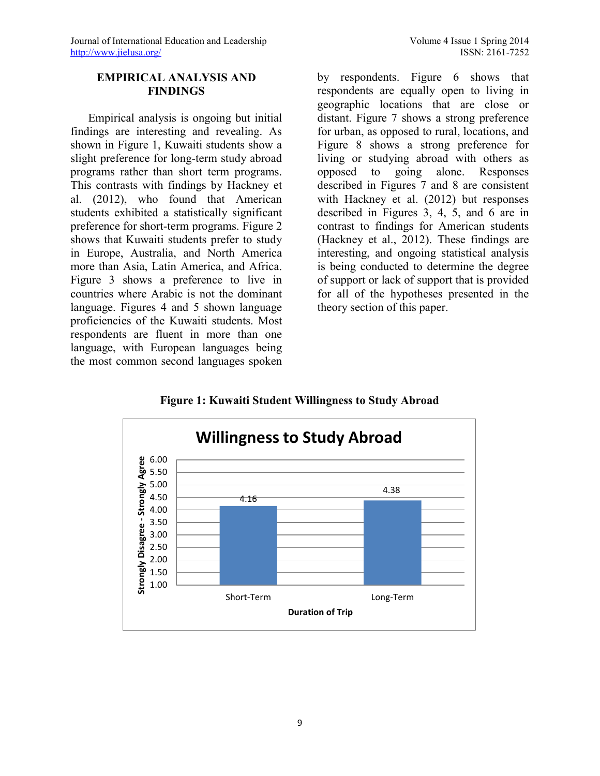# **EMPIRICAL ANALYSIS AND FINDINGS**

Empirical analysis is ongoing but initial findings are interesting and revealing. As shown in Figure 1, Kuwaiti students show a slight preference for long-term study abroad programs rather than short term programs. This contrasts with findings by Hackney et al. (2012), who found that American students exhibited a statistically significant preference for short-term programs. Figure 2 shows that Kuwaiti students prefer to study in Europe, Australia, and North America more than Asia, Latin America, and Africa. Figure 3 shows a preference to live in countries where Arabic is not the dominant language. Figures 4 and 5 shown language proficiencies of the Kuwaiti students. Most respondents are fluent in more than one language, with European languages being the most common second languages spoken by respondents. Figure 6 shows that respondents are equally open to living in geographic locations that are close or distant. Figure 7 shows a strong preference for urban, as opposed to rural, locations, and Figure 8 shows a strong preference for living or studying abroad with others as opposed to going alone. Responses described in Figures 7 and 8 are consistent with Hackney et al. (2012) but responses described in Figures 3, 4, 5, and 6 are in contrast to findings for American students (Hackney et al., 2012). These findings are interesting, and ongoing statistical analysis is being conducted to determine the degree of support or lack of support that is provided for all of the hypotheses presented in the theory section of this paper.



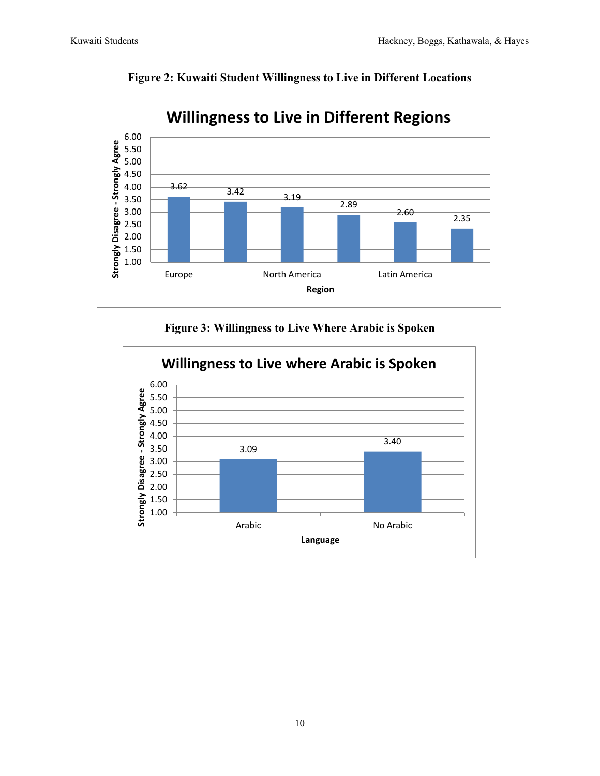

**Figure 2: Kuwaiti Student Willingness to Live in Different Locations**



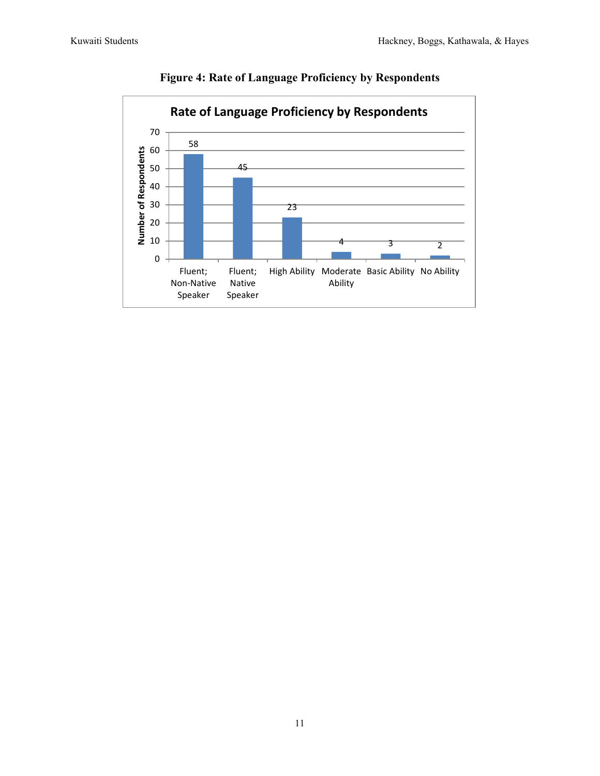

**Figure 4: Rate of Language Proficiency by Respondents**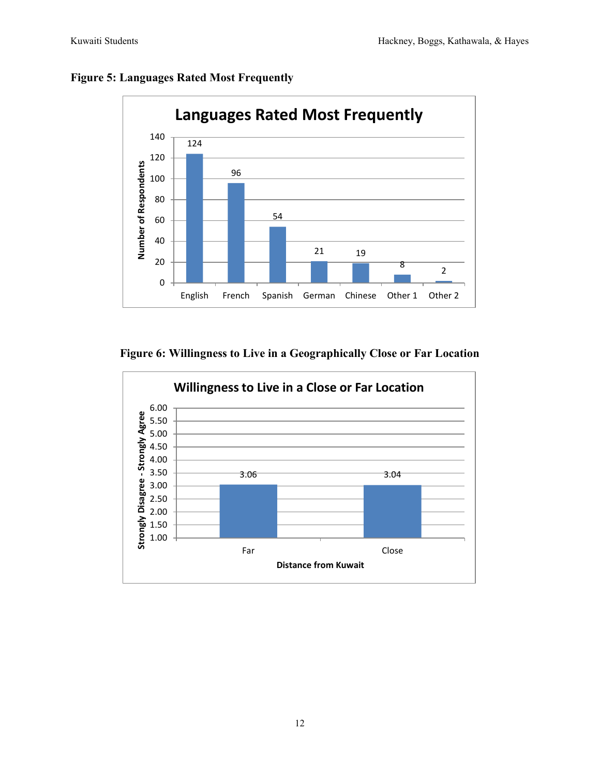

# **Figure 5: Languages Rated Most Frequently**

**Figure 6: Willingness to Live in a Geographically Close or Far Location**

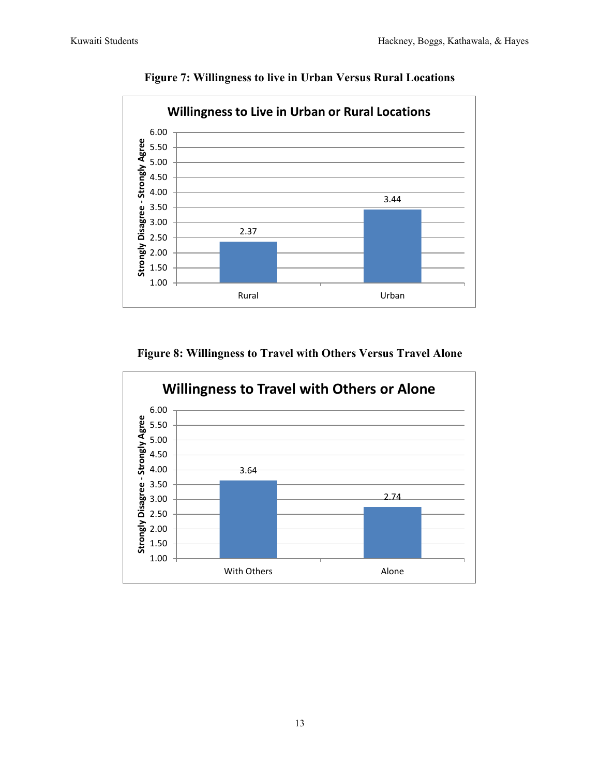

**Figure 7: Willingness to live in Urban Versus Rural Locations**

**Figure 8: Willingness to Travel with Others Versus Travel Alone**

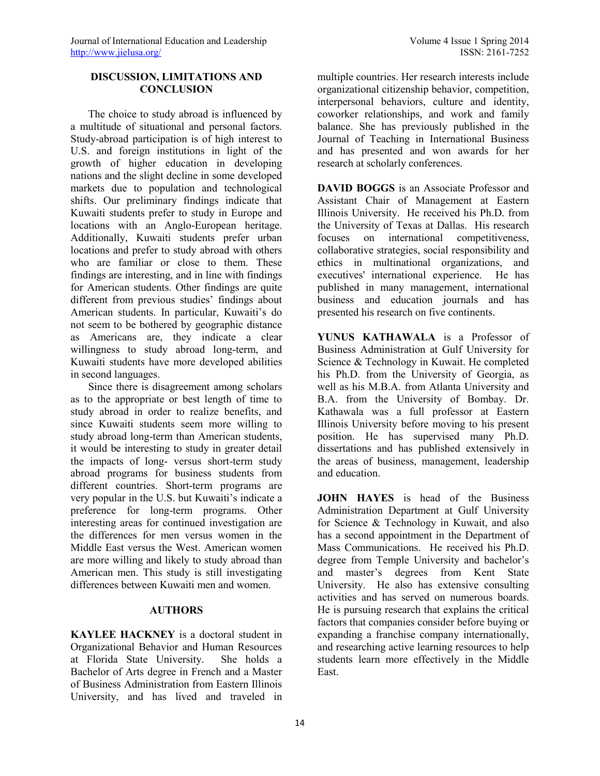# **DISCUSSION, LIMITATIONS AND CONCLUSION**

The choice to study abroad is influenced by a multitude of situational and personal factors. Study-abroad participation is of high interest to U.S. and foreign institutions in light of the growth of higher education in developing nations and the slight decline in some developed markets due to population and technological shifts. Our preliminary findings indicate that Kuwaiti students prefer to study in Europe and locations with an Anglo-European heritage. Additionally, Kuwaiti students prefer urban locations and prefer to study abroad with others who are familiar or close to them. These findings are interesting, and in line with findings for American students. Other findings are quite different from previous studies' findings about American students. In particular, Kuwaiti's do not seem to be bothered by geographic distance as Americans are, they indicate a clear willingness to study abroad long-term, and Kuwaiti students have more developed abilities in second languages.

Since there is disagreement among scholars as to the appropriate or best length of time to study abroad in order to realize benefits, and since Kuwaiti students seem more willing to study abroad long-term than American students, it would be interesting to study in greater detail the impacts of long- versus short-term study abroad programs for business students from different countries. Short-term programs are very popular in the U.S. but Kuwaiti's indicate a preference for long-term programs. Other interesting areas for continued investigation are the differences for men versus women in the Middle East versus the West. American women are more willing and likely to study abroad than American men. This study is still investigating differences between Kuwaiti men and women.

## **AUTHORS**

**KAYLEE HACKNEY** is a doctoral student in Organizational Behavior and Human Resources at Florida State University. She holds a Bachelor of Arts degree in French and a Master of Business Administration from Eastern Illinois University, and has lived and traveled in

multiple countries. Her research interests include organizational citizenship behavior, competition, interpersonal behaviors, culture and identity, coworker relationships, and work and family balance. She has previously published in the Journal of Teaching in International Business and has presented and won awards for her research at scholarly conferences.

**DAVID BOGGS** is an Associate Professor and Assistant Chair of Management at Eastern Illinois University. He received his Ph.D. from the University of Texas at Dallas. His research focuses on international competitiveness, collaborative strategies, social responsibility and ethics in multinational organizations, and executives' international experience. He has published in many management, international business and education journals and has presented his research on five continents.

**YUNUS KATHAWALA** is a Professor of Business Administration at Gulf University for Science & Technology in Kuwait. He completed his Ph.D. from the University of Georgia, as well as his M.B.A. from Atlanta University and B.A. from the University of Bombay. Dr. Kathawala was a full professor at Eastern Illinois University before moving to his present position. He has supervised many Ph.D. dissertations and has published extensively in the areas of business, management, leadership and education.

**JOHN HAYES** is head of the Business Administration Department at Gulf University for Science & Technology in Kuwait, and also has a second appointment in the Department of Mass Communications. He received his Ph.D. degree from Temple University and bachelor's and master's degrees from Kent State University. He also has extensive consulting activities and has served on numerous boards. He is pursuing research that explains the critical factors that companies consider before buying or expanding a franchise company internationally, and researching active learning resources to help students learn more effectively in the Middle East.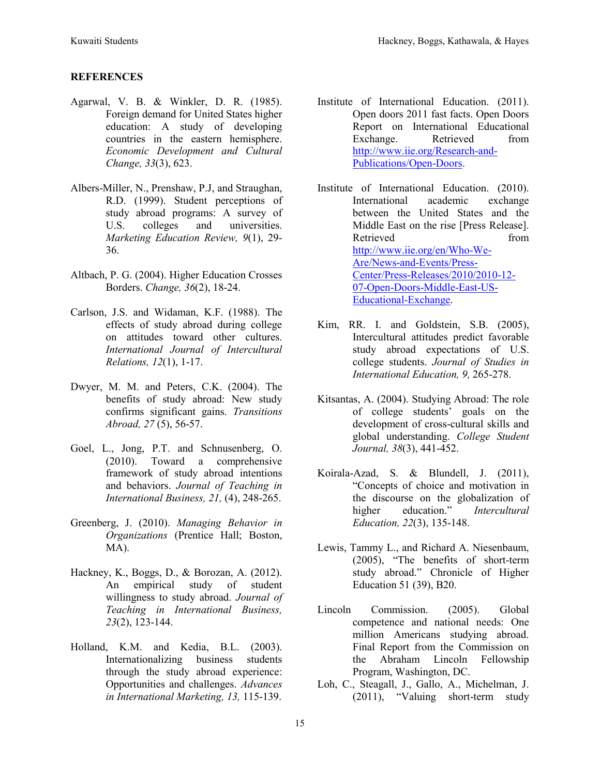### **REFERENCES**

- Agarwal, V. B. & Winkler, D. R. (1985). Foreign demand for United States higher education: A study of developing countries in the eastern hemisphere. *Economic Development and Cultural Change, 33*(3), 623.
- Albers-Miller, N., Prenshaw, P.J, and Straughan, R.D. (1999). Student perceptions of study abroad programs: A survey of U.S. colleges and universities. *Marketing Education Review, 9*(1), 29- 36.
- Altbach, P. G. (2004). Higher Education Crosses Borders. *Change, 36*(2), 18-24.
- Carlson, J.S. and Widaman, K.F. (1988). The effects of study abroad during college on attitudes toward other cultures. *International Journal of Intercultural Relations, 12*(1), 1-17.
- Dwyer, M. M. and Peters, C.K. (2004). The benefits of study abroad: New study confirms significant gains. *Transitions Abroad, 27* (5), 56-57.
- Goel, L., Jong, P.T. and Schnusenberg, O. (2010). Toward a comprehensive framework of study abroad intentions and behaviors. *Journal of Teaching in International Business, 21,* (4), 248-265.
- Greenberg, J. (2010). *Managing Behavior in Organizations* (Prentice Hall; Boston, MA).
- Hackney, K., Boggs, D., & Borozan, A. (2012). An empirical study of student willingness to study abroad. *Journal of Teaching in International Business, 23*(2), 123-144.
- Holland, K.M. and Kedia, B.L. (2003). Internationalizing business students through the study abroad experience: Opportunities and challenges. *Advances in International Marketing, 13,* 115-139.
- Institute of International Education. (2011). Open doors 2011 fast facts. Open Doors Report on International Educational Exchange. Retrieved from [http://www.iie.org/Research-and-](http://www.iie.org/Research-and-Publications/Open-Doors)[Publications/Open-Doors.](http://www.iie.org/Research-and-Publications/Open-Doors)
- Institute of International Education. (2010). International academic exchange between the United States and the Middle East on the rise [Press Release]. Retrieved from the state of the state of the state of the state of the state of the state of the state of the state of the state of the state of the state of the state of the state of the state of the state of the state of [http://www.iie.org/en/Who-We-](http://www.iie.org/en/Who-We-Are/News-and-Events/Press-Center/Press-Releases/2010/2010-12-07-Open-Doors-Middle-East-US-Educational-Exchange)[Are/News-and-Events/Press-](http://www.iie.org/en/Who-We-Are/News-and-Events/Press-Center/Press-Releases/2010/2010-12-07-Open-Doors-Middle-East-US-Educational-Exchange)[Center/Press-Releases/2010/2010-12-](http://www.iie.org/en/Who-We-Are/News-and-Events/Press-Center/Press-Releases/2010/2010-12-07-Open-Doors-Middle-East-US-Educational-Exchange) [07-Open-Doors-Middle-East-US-](http://www.iie.org/en/Who-We-Are/News-and-Events/Press-Center/Press-Releases/2010/2010-12-07-Open-Doors-Middle-East-US-Educational-Exchange)[Educational-Exchange.](http://www.iie.org/en/Who-We-Are/News-and-Events/Press-Center/Press-Releases/2010/2010-12-07-Open-Doors-Middle-East-US-Educational-Exchange)
- Kim, RR. I. and Goldstein, S.B. (2005), Intercultural attitudes predict favorable study abroad expectations of U.S. college students. *Journal of Studies in International Education, 9,* 265-278.
- Kitsantas, A. (2004). Studying Abroad: The role of college students' goals on the development of cross-cultural skills and global understanding. *College Student Journal, 38*(3), 441-452.
- Koirala-Azad, S. & Blundell, J. (2011), "Concepts of choice and motivation in the discourse on the globalization of higher education." *Intercultural Education, 22*(3), 135-148.
- Lewis, Tammy L., and Richard A. Niesenbaum, (2005), "The benefits of short-term study abroad." Chronicle of Higher Education 51 (39), B20.
- Lincoln Commission. (2005). Global competence and national needs: One million Americans studying abroad. Final Report from the Commission on the Abraham Lincoln Fellowship Program, Washington, DC.
- Loh, C., Steagall, J., Gallo, A., Michelman, J. (2011), "Valuing short-term study